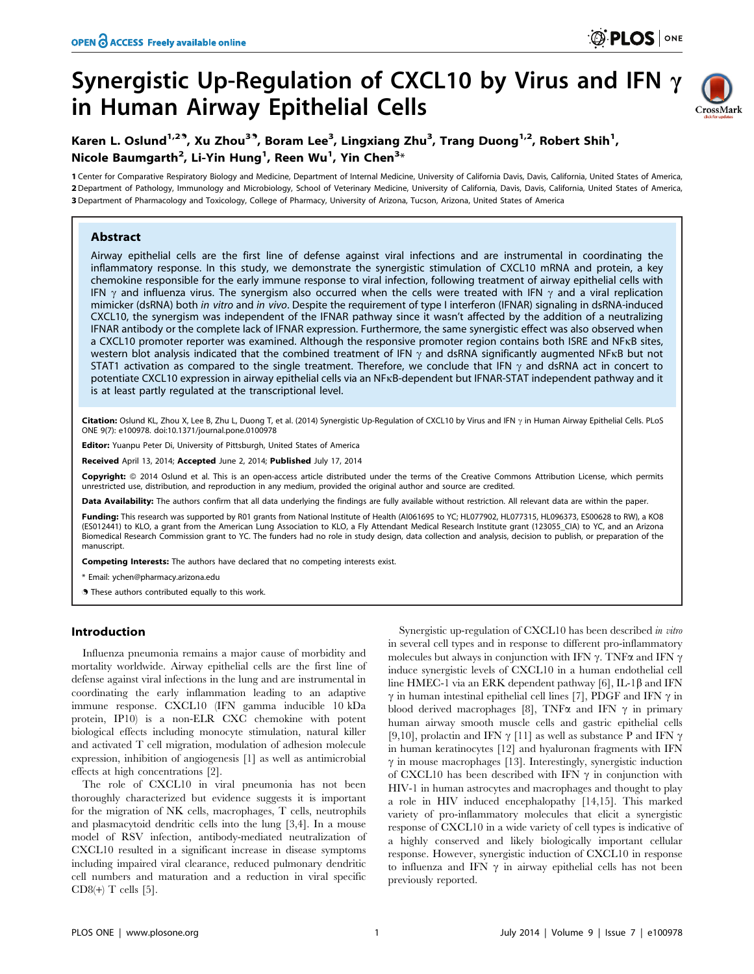# Synergistic Up-Regulation of CXCL10 by Virus and IFN  $\gamma$ in Human Airway Epithelial Cells



## Karen L. Oslund<sup>1,29</sup>, Xu Zhou<sup>39</sup>, Boram Lee<sup>3</sup>, Lingxiang Zhu<sup>3</sup>, Trang Duong<sup>1,2</sup>, Robert Shih<sup>1</sup>, Nicole Baumgarth $^2$ , Li-Yin Hung $^1$ , Reen Wu $^1$ , Yin Chen $^{\mathbf{3}_{\times}}$

1 Center for Comparative Respiratory Biology and Medicine, Department of Internal Medicine, University of California Davis, Davis, California, United States of America, 2 Department of Pathology, Immunology and Microbiology, School of Veterinary Medicine, University of California, Davis, Davis, California, United States of America, 3 Department of Pharmacology and Toxicology, College of Pharmacy, University of Arizona, Tucson, Arizona, United States of America

## Abstract

Airway epithelial cells are the first line of defense against viral infections and are instrumental in coordinating the inflammatory response. In this study, we demonstrate the synergistic stimulation of CXCL10 mRNA and protein, a key chemokine responsible for the early immune response to viral infection, following treatment of airway epithelial cells with IFN  $\gamma$  and influenza virus. The synergism also occurred when the cells were treated with IFN  $\gamma$  and a viral replication mimicker (dsRNA) both in vitro and in vivo. Despite the requirement of type I interferon (IFNAR) signaling in dsRNA-induced CXCL10, the synergism was independent of the IFNAR pathway since it wasn't affected by the addition of a neutralizing IFNAR antibody or the complete lack of IFNAR expression. Furthermore, the same synergistic effect was also observed when a CXCL10 promoter reporter was examined. Although the responsive promoter region contains both ISRE and NFkB sites, western blot analysis indicated that the combined treatment of IFN  $\gamma$  and dsRNA significantly augmented NFKB but not STAT1 activation as compared to the single treatment. Therefore, we conclude that IFN  $\gamma$  and dsRNA act in concert to potentiate CXCL10 expression in airway epithelial cells via an NFkB-dependent but IFNAR-STAT independent pathway and it is at least partly regulated at the transcriptional level.

Citation: Oslund KL, Zhou X, Lee B, Zhu L, Duong T, et al. (2014) Synergistic Up-Regulation of CXCL10 by Virus and IFN  $\gamma$  in Human Airway Epithelial Cells. PLoS ONE 9(7): e100978. doi:10.1371/journal.pone.0100978

Editor: Yuanpu Peter Di, University of Pittsburgh, United States of America

Received April 13, 2014; Accepted June 2, 2014; Published July 17, 2014

Copyright: @ 2014 Oslund et al. This is an open-access article distributed under the terms of the [Creative Commons Attribution License](http://creativecommons.org/licenses/by/4.0/), which permits unrestricted use, distribution, and reproduction in any medium, provided the original author and source are credited.

Data Availability: The authors confirm that all data underlying the findings are fully available without restriction. All relevant data are within the paper.

Funding: This research was supported by R01 grants from National Institute of Health (AI061695 to YC; HL077902, HL077315, HL096373, ES00628 to RW), a KO8 (ES012441) to KLO, a grant from the American Lung Association to KLO, a Fly Attendant Medical Research Institute grant (123055\_CIA) to YC, and an Arizona Biomedical Research Commission grant to YC. The funders had no role in study design, data collection and analysis, decision to publish, or preparation of the manuscript.

Competing Interests: The authors have declared that no competing interests exist.

\* Email: ychen@pharmacy.arizona.edu

. These authors contributed equally to this work.

## Introduction

Influenza pneumonia remains a major cause of morbidity and mortality worldwide. Airway epithelial cells are the first line of defense against viral infections in the lung and are instrumental in coordinating the early inflammation leading to an adaptive immune response. CXCL10 (IFN gamma inducible 10 kDa protein, IP10) is a non-ELR CXC chemokine with potent biological effects including monocyte stimulation, natural killer and activated T cell migration, modulation of adhesion molecule expression, inhibition of angiogenesis [1] as well as antimicrobial effects at high concentrations [2].

The role of CXCL10 in viral pneumonia has not been thoroughly characterized but evidence suggests it is important for the migration of NK cells, macrophages, T cells, neutrophils and plasmacytoid dendritic cells into the lung [3,4]. In a mouse model of RSV infection, antibody-mediated neutralization of CXCL10 resulted in a significant increase in disease symptoms including impaired viral clearance, reduced pulmonary dendritic cell numbers and maturation and a reduction in viral specific CD8 $(+)$  T cells [5].

Synergistic up-regulation of CXCL10 has been described in vitro in several cell types and in response to different pro-inflammatory molecules but always in conjunction with IFN  $\gamma$ . TNF $\alpha$  and IFN  $\gamma$ induce synergistic levels of CXCL10 in a human endothelial cell line HMEC-1 via an ERK dependent pathway [6], IL-1 $\beta$  and IFN  $\gamma$  in human intestinal epithelial cell lines [7], PDGF and IFN  $\gamma$  in blood derived macrophages [8], TNF $\alpha$  and IFN  $\gamma$  in primary human airway smooth muscle cells and gastric epithelial cells [9,10], prolactin and IFN  $\gamma$  [11] as well as substance P and IFN  $\gamma$ in human keratinocytes [12] and hyaluronan fragments with IFN  $\gamma$  in mouse macrophages [13]. Interestingly, synergistic induction of CXCL10 has been described with IFN  $\gamma$  in conjunction with HIV-1 in human astrocytes and macrophages and thought to play a role in HIV induced encephalopathy [14,15]. This marked variety of pro-inflammatory molecules that elicit a synergistic response of CXCL10 in a wide variety of cell types is indicative of a highly conserved and likely biologically important cellular response. However, synergistic induction of CXCL10 in response to influenza and IFN  $\gamma$  in airway epithelial cells has not been previously reported.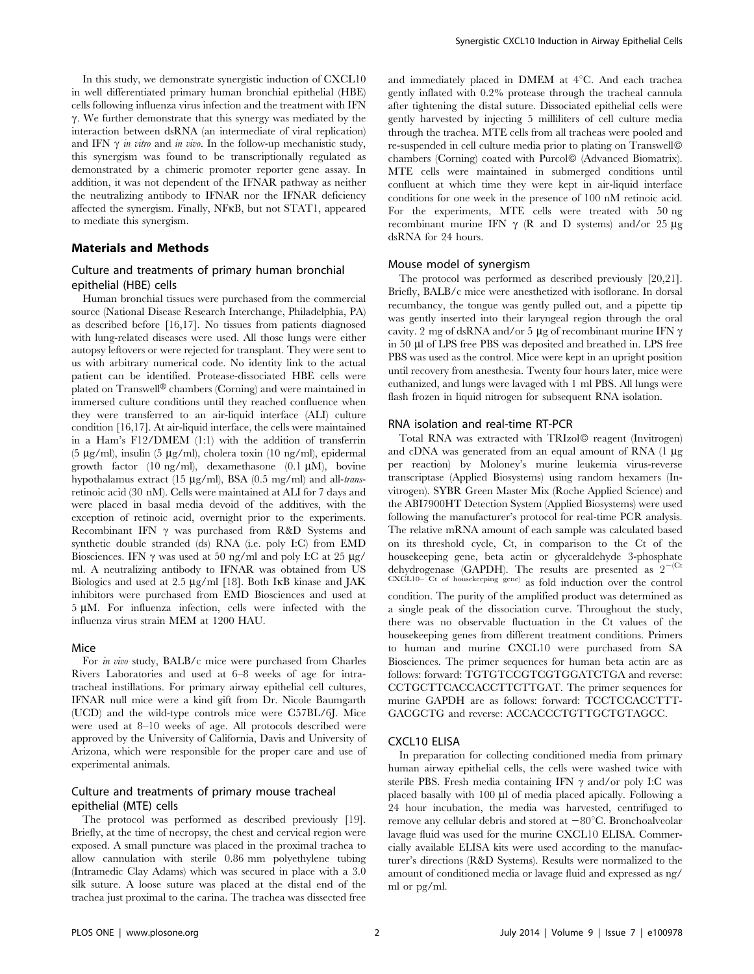In this study, we demonstrate synergistic induction of CXCL10 in well differentiated primary human bronchial epithelial (HBE) cells following influenza virus infection and the treatment with IFN  $\gamma$ . We further demonstrate that this synergy was mediated by the interaction between dsRNA (an intermediate of viral replication) and IFN  $\gamma$  *in vitro* and *in vivo*. In the follow-up mechanistic study, this synergism was found to be transcriptionally regulated as demonstrated by a chimeric promoter reporter gene assay. In addition, it was not dependent of the IFNAR pathway as neither the neutralizing antibody to IFNAR nor the IFNAR deficiency affected the synergism. Finally, NFkB, but not STAT1, appeared to mediate this synergism.

## Materials and Methods

## Culture and treatments of primary human bronchial epithelial (HBE) cells

Human bronchial tissues were purchased from the commercial source (National Disease Research Interchange, Philadelphia, PA) as described before [16,17]. No tissues from patients diagnosed with lung-related diseases were used. All those lungs were either autopsy leftovers or were rejected for transplant. They were sent to us with arbitrary numerical code. No identity link to the actual patient can be identified. Protease-dissociated HBE cells were plated on Transwell<sup>®</sup> chambers (Corning) and were maintained in immersed culture conditions until they reached confluence when they were transferred to an air-liquid interface (ALI) culture condition [16,17]. At air-liquid interface, the cells were maintained in a Ham's F12/DMEM (1:1) with the addition of transferrin (5  $\mu$ g/ml), insulin (5  $\mu$ g/ml), cholera toxin (10 ng/ml), epidermal growth factor (10 ng/ml), dexamethasone (0.1  $\mu$ M), bovine hypothalamus extract (15  $\mu$ g/ml), BSA (0.5 mg/ml) and all-*trans*retinoic acid (30 nM). Cells were maintained at ALI for 7 days and were placed in basal media devoid of the additives, with the exception of retinoic acid, overnight prior to the experiments. Recombinant IFN  $\gamma$  was purchased from R&D Systems and synthetic double stranded (ds) RNA (i.e. poly I:C) from EMD Biosciences. IFN  $\gamma$  was used at 50 ng/ml and poly I:C at 25  $\mu$ g/ ml. A neutralizing antibody to IFNAR was obtained from US Biologics and used at  $2.5 \mu g/ml$  [18]. Both IKB kinase and JAK inhibitors were purchased from EMD Biosciences and used at  $5 \mu M$ . For influenza infection, cells were infected with the influenza virus strain MEM at 1200 HAU.

#### Mice

For in vivo study, BALB/c mice were purchased from Charles Rivers Laboratories and used at 6–8 weeks of age for intratracheal instillations. For primary airway epithelial cell cultures, IFNAR null mice were a kind gift from Dr. Nicole Baumgarth (UCD) and the wild-type controls mice were C57BL/6J. Mice were used at 8–10 weeks of age. All protocols described were approved by the University of California, Davis and University of Arizona, which were responsible for the proper care and use of experimental animals.

## Culture and treatments of primary mouse tracheal epithelial (MTE) cells

The protocol was performed as described previously [19]. Briefly, at the time of necropsy, the chest and cervical region were exposed. A small puncture was placed in the proximal trachea to allow cannulation with sterile 0.86 mm polyethylene tubing (Intramedic Clay Adams) which was secured in place with a 3.0 silk suture. A loose suture was placed at the distal end of the trachea just proximal to the carina. The trachea was dissected free

and immediately placed in DMEM at  $4^{\circ}$ C. And each trachea gently inflated with 0.2% protease through the tracheal cannula after tightening the distal suture. Dissociated epithelial cells were gently harvested by injecting 5 milliliters of cell culture media through the trachea. MTE cells from all tracheas were pooled and re-suspended in cell culture media prior to plating on Transwell chambers (Corning) coated with Purcol<sup>®</sup> (Advanced Biomatrix). MTE cells were maintained in submerged conditions until confluent at which time they were kept in air-liquid interface conditions for one week in the presence of 100 nM retinoic acid. For the experiments, MTE cells were treated with 50 ng recombinant murine IFN  $\gamma$  (R and D systems) and/or 25  $\mu$ g dsRNA for 24 hours.

#### Mouse model of synergism

The protocol was performed as described previously [20,21]. Briefly, BALB/c mice were anesthetized with isoflorane. In dorsal recumbancy, the tongue was gently pulled out, and a pipette tip was gently inserted into their laryngeal region through the oral cavity. 2 mg of dsRNA and/or 5  $\mu$ g of recombinant murine IFN  $\gamma$ in 50 ml of LPS free PBS was deposited and breathed in. LPS free PBS was used as the control. Mice were kept in an upright position until recovery from anesthesia. Twenty four hours later, mice were euthanized, and lungs were lavaged with 1 ml PBS. All lungs were flash frozen in liquid nitrogen for subsequent RNA isolation.

#### RNA isolation and real-time RT-PCR

Total RNA was extracted with TRIzol<sup>®</sup> reagent (Invitrogen) and cDNA was generated from an equal amount of RNA  $(1 \mu g)$ per reaction) by Moloney's murine leukemia virus-reverse transcriptase (Applied Biosystems) using random hexamers (Invitrogen). SYBR Green Master Mix (Roche Applied Science) and the ABI7900HT Detection System (Applied Biosystems) were used following the manufacturer's protocol for real-time PCR analysis. The relative mRNA amount of each sample was calculated based on its threshold cycle, Ct, in comparison to the Ct of the housekeeping gene, beta actin or glyceraldehyde 3-phosphate dehydrogenase (GAPDH). The results are presented as  $2^{-(Ct)}$ CXCL10– Ct of housekeeping gene) as fold induction over the control condition. The purity of the amplified product was determined as a single peak of the dissociation curve. Throughout the study, there was no observable fluctuation in the Ct values of the housekeeping genes from different treatment conditions. Primers to human and murine CXCL10 were purchased from SA Biosciences. The primer sequences for human beta actin are as follows: forward: TGTGTCCGTCGTGGATCTGA and reverse: CCTGCTTCACCACCTTCTTGAT. The primer sequences for murine GAPDH are as follows: forward: TCCTCCACCTTT-GACGCTG and reverse: ACCACCCTGTTGCTGTAGCC.

#### CXCL10 ELISA

In preparation for collecting conditioned media from primary human airway epithelial cells, the cells were washed twice with sterile PBS. Fresh media containing IFN  $\gamma$  and/or poly I:C was placed basally with 100 µl of media placed apically. Following a 24 hour incubation, the media was harvested, centrifuged to remove any cellular debris and stored at  $-80^{\circ}$ C. Bronchoalveolar lavage fluid was used for the murine CXCL10 ELISA. Commercially available ELISA kits were used according to the manufacturer's directions (R&D Systems). Results were normalized to the amount of conditioned media or lavage fluid and expressed as ng/ ml or pg/ml.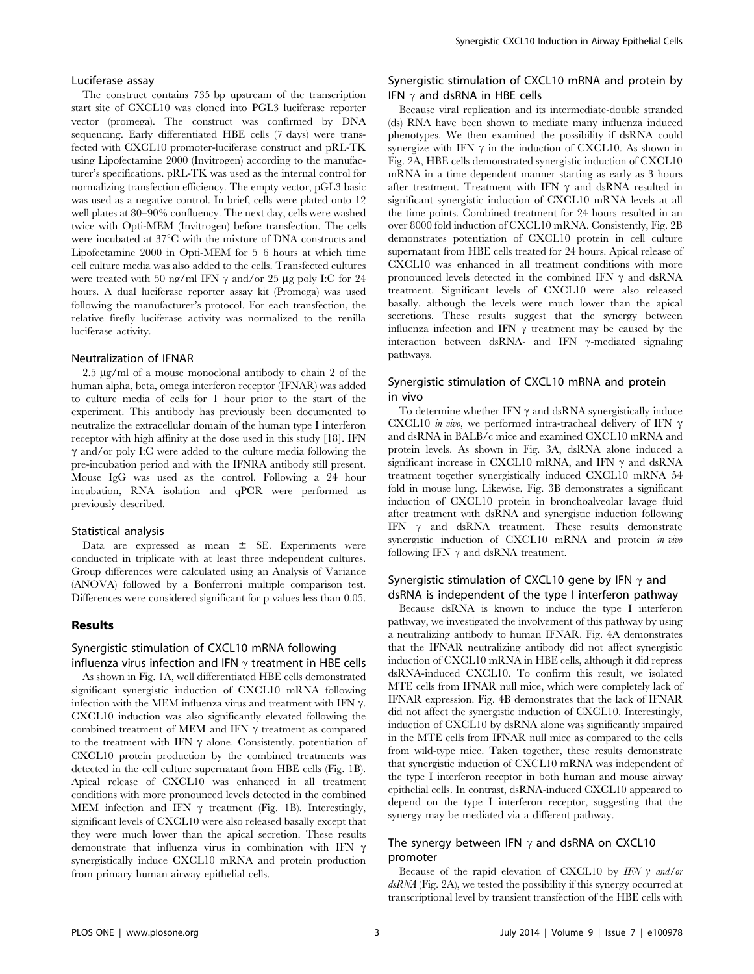#### Luciferase assay

The construct contains 735 bp upstream of the transcription start site of CXCL10 was cloned into PGL3 luciferase reporter vector (promega). The construct was confirmed by DNA sequencing. Early differentiated HBE cells (7 days) were transfected with CXCL10 promoter-luciferase construct and pRL-TK using Lipofectamine 2000 (Invitrogen) according to the manufacturer's specifications. pRL-TK was used as the internal control for normalizing transfection efficiency. The empty vector, pGL3 basic was used as a negative control. In brief, cells were plated onto 12 well plates at 80–90% confluency. The next day, cells were washed twice with Opti-MEM (Invitrogen) before transfection. The cells were incubated at  $37^{\circ}$ C with the mixture of DNA constructs and Lipofectamine 2000 in Opti-MEM for 5–6 hours at which time cell culture media was also added to the cells. Transfected cultures were treated with 50 ng/ml IFN  $\gamma$  and/or 25 µg poly I:C for 24 hours. A dual luciferase reporter assay kit (Promega) was used following the manufacturer's protocol. For each transfection, the relative firefly luciferase activity was normalized to the renilla luciferase activity.

#### Neutralization of IFNAR

 $2.5 \mu g/ml$  of a mouse monoclonal antibody to chain 2 of the human alpha, beta, omega interferon receptor (IFNAR) was added to culture media of cells for 1 hour prior to the start of the experiment. This antibody has previously been documented to neutralize the extracellular domain of the human type I interferon receptor with high affinity at the dose used in this study [18]. IFN  $\gamma$  and/or poly I:C were added to the culture media following the pre-incubation period and with the IFNRA antibody still present. Mouse IgG was used as the control. Following a 24 hour incubation, RNA isolation and qPCR were performed as previously described.

#### Statistical analysis

Data are expressed as mean  $\pm$  SE. Experiments were conducted in triplicate with at least three independent cultures. Group differences were calculated using an Analysis of Variance (ANOVA) followed by a Bonferroni multiple comparison test. Differences were considered significant for p values less than 0.05.

#### Results

## Synergistic stimulation of CXCL10 mRNA following influenza virus infection and IFN  $\gamma$  treatment in HBE cells

As shown in Fig. 1A, well differentiated HBE cells demonstrated significant synergistic induction of CXCL10 mRNA following infection with the MEM influenza virus and treatment with IFN  $\gamma$ . CXCL10 induction was also significantly elevated following the combined treatment of MEM and IFN  $\gamma$  treatment as compared to the treatment with IFN  $\gamma$  alone. Consistently, potentiation of CXCL10 protein production by the combined treatments was detected in the cell culture supernatant from HBE cells (Fig. 1B). Apical release of CXCL10 was enhanced in all treatment conditions with more pronounced levels detected in the combined MEM infection and IFN  $\gamma$  treatment (Fig. 1B). Interestingly, significant levels of CXCL10 were also released basally except that they were much lower than the apical secretion. These results demonstrate that influenza virus in combination with IFN  $\gamma$ synergistically induce CXCL10 mRNA and protein production from primary human airway epithelial cells.

## Synergistic stimulation of CXCL10 mRNA and protein by IFN  $\gamma$  and dsRNA in HBE cells

Because viral replication and its intermediate-double stranded (ds) RNA have been shown to mediate many influenza induced phenotypes. We then examined the possibility if dsRNA could synergize with IFN  $\gamma$  in the induction of CXCL10. As shown in Fig. 2A, HBE cells demonstrated synergistic induction of CXCL10 mRNA in a time dependent manner starting as early as 3 hours after treatment. Treatment with IFN  $\gamma$  and dsRNA resulted in significant synergistic induction of CXCL10 mRNA levels at all the time points. Combined treatment for 24 hours resulted in an over 8000 fold induction of CXCL10 mRNA. Consistently, Fig. 2B demonstrates potentiation of CXCL10 protein in cell culture supernatant from HBE cells treated for 24 hours. Apical release of CXCL10 was enhanced in all treatment conditions with more pronounced levels detected in the combined IFN  $\gamma$  and dsRNA treatment. Significant levels of CXCL10 were also released basally, although the levels were much lower than the apical secretions. These results suggest that the synergy between influenza infection and IFN  $\gamma$  treatment may be caused by the interaction between dsRNA- and IFN  $\gamma$ -mediated signaling pathways.

## Synergistic stimulation of CXCL10 mRNA and protein in vivo

To determine whether IFN  $\gamma$  and dsRNA synergistically induce CXCL10 in vivo, we performed intra-tracheal delivery of IFN  $\gamma$ and dsRNA in BALB/c mice and examined CXCL10 mRNA and protein levels. As shown in Fig. 3A, dsRNA alone induced a significant increase in CXCL10 mRNA, and IFN  $\gamma$  and dsRNA treatment together synergistically induced CXCL10 mRNA 54 fold in mouse lung. Likewise, Fig. 3B demonstrates a significant induction of CXCL10 protein in bronchoalveolar lavage fluid after treatment with dsRNA and synergistic induction following IFN  $\gamma$  and dsRNA treatment. These results demonstrate synergistic induction of CXCL10 mRNA and protein *in vivo* following IFN  $\gamma$  and dsRNA treatment.

## Synergistic stimulation of CXCL10 gene by IFN  $\gamma$  and dsRNA is independent of the type I interferon pathway

Because dsRNA is known to induce the type I interferon pathway, we investigated the involvement of this pathway by using a neutralizing antibody to human IFNAR. Fig. 4A demonstrates that the IFNAR neutralizing antibody did not affect synergistic induction of CXCL10 mRNA in HBE cells, although it did repress dsRNA-induced CXCL10. To confirm this result, we isolated MTE cells from IFNAR null mice, which were completely lack of IFNAR expression. Fig. 4B demonstrates that the lack of IFNAR did not affect the synergistic induction of CXCL10. Interestingly, induction of CXCL10 by dsRNA alone was significantly impaired in the MTE cells from IFNAR null mice as compared to the cells from wild-type mice. Taken together, these results demonstrate that synergistic induction of CXCL10 mRNA was independent of the type I interferon receptor in both human and mouse airway epithelial cells. In contrast, dsRNA-induced CXCL10 appeared to depend on the type I interferon receptor, suggesting that the synergy may be mediated via a different pathway.

## The synergy between IFN  $\gamma$  and dsRNA on CXCL10 promoter

Because of the rapid elevation of CXCL10 by IFN  $\gamma$  and/or dsRNA (Fig. 2A), we tested the possibility if this synergy occurred at transcriptional level by transient transfection of the HBE cells with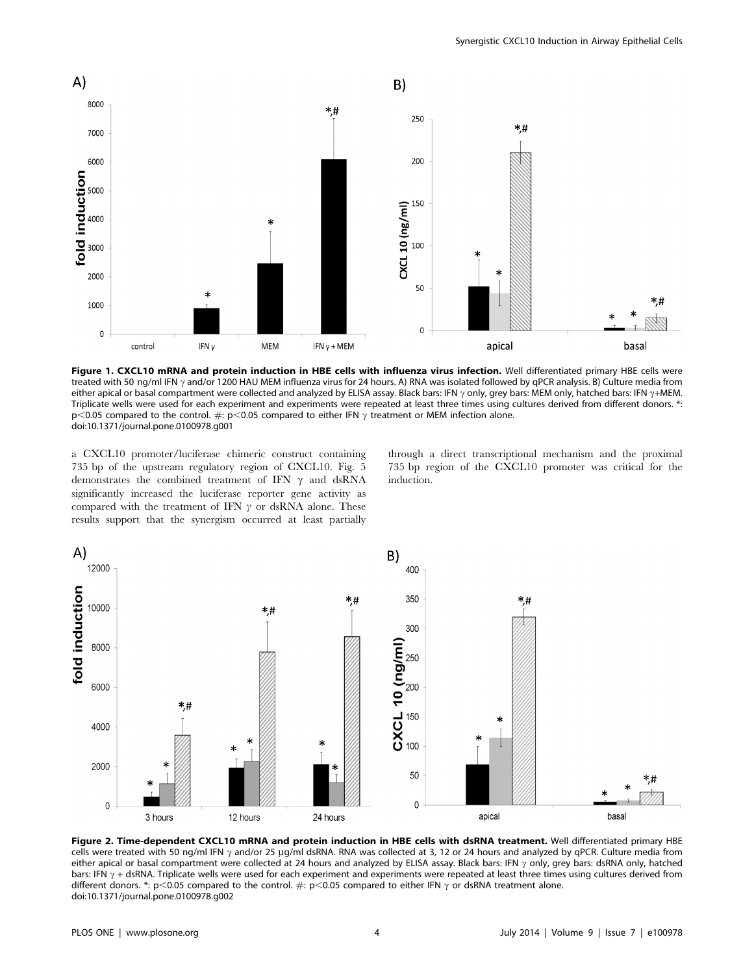

Figure 1. CXCL10 mRNA and protein induction in HBE cells with influenza virus infection. Well differentiated primary HBE cells were treated with 50 ng/ml IFN  $\gamma$  and/or 1200 HAU MEM influenza virus for 24 hours. A) RNA was isolated followed by qPCR analysis. B) Culture media from either apical or basal compartment were collected and analyzed by ELISA assay. Black bars: IFN  $\gamma$  only, grey bars: MEM only, hatched bars: IFN  $\gamma$ +MEM. Triplicate wells were used for each experiment and experiments were repeated at least three times using cultures derived from different donors. \*: p<0.05 compared to the control.  $\#$ : p<0.05 compared to either IFN  $\gamma$  treatment or MEM infection alone. doi:10.1371/journal.pone.0100978.g001

a CXCL10 promoter/luciferase chimeric construct containing 735 bp of the upstream regulatory region of CXCL10. Fig. 5 demonstrates the combined treatment of IFN  $\gamma$  and dsRNA significantly increased the luciferase reporter gene activity as compared with the treatment of IFN  $\nu$  or dsRNA alone. These results support that the synergism occurred at least partially

through a direct transcriptional mechanism and the proximal 735 bp region of the CXCL10 promoter was critical for the induction.



Figure 2. Time-dependent CXCL10 mRNA and protein induction in HBE cells with dsRNA treatment. Well differentiated primary HBE cells were treated with 50 ng/ml IFN  $\gamma$  and/or 25 µg/ml dsRNA. RNA was collected at 3, 12 or 24 hours and analyzed by qPCR. Culture media from either apical or basal compartment were collected at 24 hours and analyzed by ELISA assay. Black bars: IFN  $\gamma$  only, grey bars: dsRNA only, hatched bars: IFN  $\gamma$  + dsRNA. Triplicate wells were used for each experiment and experiments were repeated at least three times using cultures derived from different donors. \*: p<0.05 compared to the control.  $\#: p<0.05$  compared to either IFN  $\gamma$  or dsRNA treatment alone. doi:10.1371/journal.pone.0100978.g002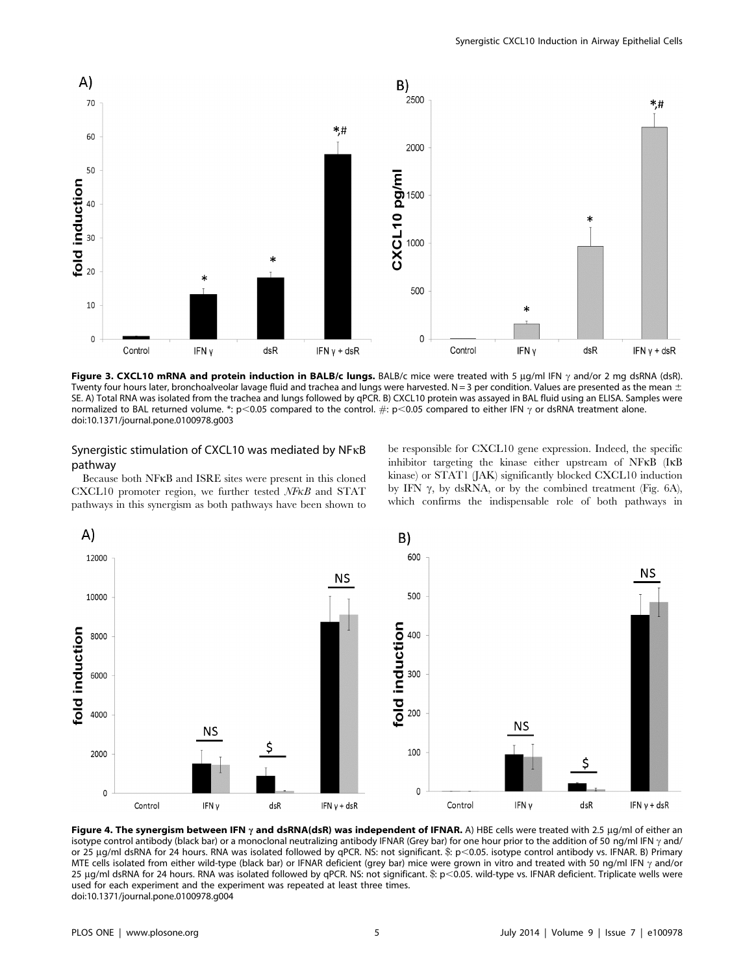

Figure 3. CXCL10 mRNA and protein induction in BALB/c lungs. BALB/c mice were treated with 5  $\mu$ g/ml IFN  $\gamma$  and/or 2 mg dsRNA (dsR). Twenty four hours later, bronchoalveolar lavage fluid and trachea and lungs were harvested. N = 3 per condition. Values are presented as the mean  $\pm$ SE. A) Total RNA was isolated from the trachea and lungs followed by qPCR. B) CXCL10 protein was assayed in BAL fluid using an ELISA. Samples were normalized to BAL returned volume. \*: p<0.05 compared to the control.  $\#:$  p<0.05 compared to either IFN  $\gamma$  or dsRNA treatment alone. doi:10.1371/journal.pone.0100978.g003

## Synergistic stimulation of CXCL10 was mediated by NFkB pathway

Because both NFkB and ISRE sites were present in this cloned CXCL10 promoter region, we further tested NFkB and STAT pathways in this synergism as both pathways have been shown to be responsible for CXCL10 gene expression. Indeed, the specific inhibitor targeting the kinase either upstream of NFkB (IkB kinase) or STAT1 (JAK) significantly blocked CXCL10 induction by IFN  $\gamma$ , by dsRNA, or by the combined treatment (Fig. 6A), which confirms the indispensable role of both pathways in



Figure 4. The synergism between IFN  $\gamma$  and dsRNA(dsR) was independent of IFNAR. A) HBE cells were treated with 2.5 µg/ml of either an isotype control antibody (black bar) or a monoclonal neutralizing antibody IFNAR (Grey bar) for one hour prior to the addition of 50 ng/ml IFN  $\gamma$  and/ or 25 µg/ml dsRNA for 24 hours. RNA was isolated followed by qPCR. NS: not significant. \$: p<0.05. isotype control antibody vs. IFNAR. B) Primary MTE cells isolated from either wild-type (black bar) or IFNAR deficient (grey bar) mice were grown in vitro and treated with 50 ng/ml IFN  $\gamma$  and/or 25  $\mu$ q/ml dsRNA for 24 hours. RNA was isolated followed by qPCR. NS: not significant. \$: p<0.05. wild-type vs. IFNAR deficient. Triplicate wells were used for each experiment and the experiment was repeated at least three times. doi:10.1371/journal.pone.0100978.g004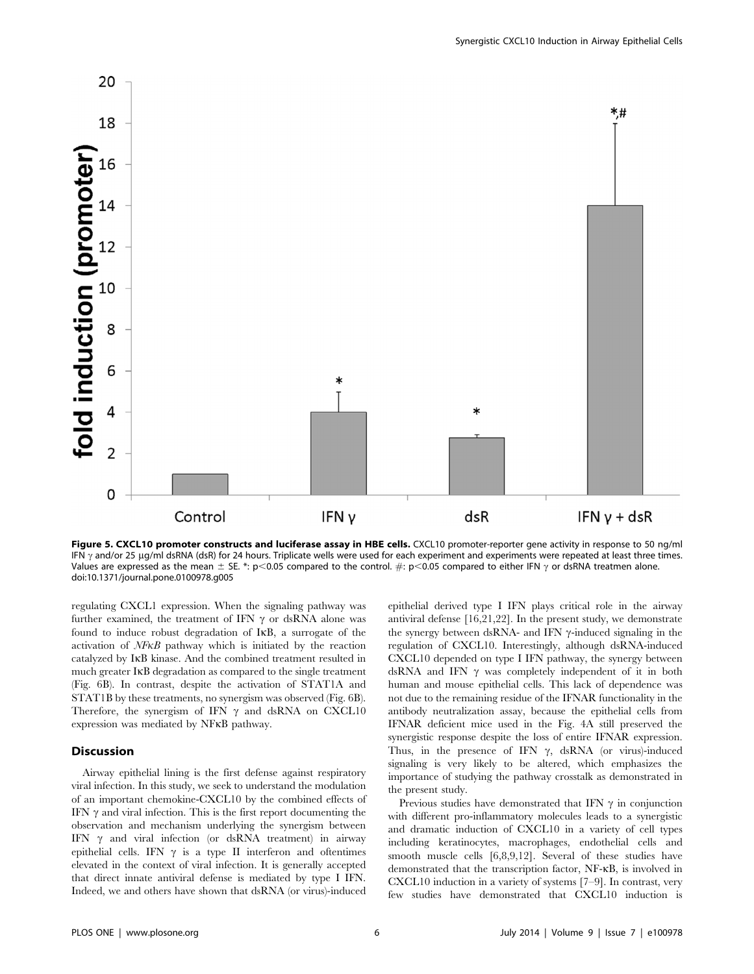

Figure 5. CXCL10 promoter constructs and luciferase assay in HBE cells. CXCL10 promoter-reporter gene activity in response to 50 ng/ml IFN  $\gamma$  and/or 25 ug/ml dsRNA (dsR) for 24 hours. Triplicate wells were used for each experiment and experiments were repeated at least three times. Values are expressed as the mean  $\pm$  SE. \*: p<0.05 compared to the control.  $\#$ : p<0.05 compared to either IFN  $\gamma$  or dsRNA treatmen alone. doi:10.1371/journal.pone.0100978.g005

regulating CXCL1 expression. When the signaling pathway was further examined, the treatment of IFN  $\gamma$  or dsRNA alone was found to induce robust degradation of IkB, a surrogate of the activation of NFkB pathway which is initiated by the reaction catalyzed by IkB kinase. And the combined treatment resulted in much greater IkB degradation as compared to the single treatment (Fig. 6B). In contrast, despite the activation of STAT1A and STAT1B by these treatments, no synergism was observed (Fig. 6B). Therefore, the synergism of IFN  $\gamma$  and dsRNA on CXCL10 expression was mediated by NFkB pathway.

#### **Discussion**

Airway epithelial lining is the first defense against respiratory viral infection. In this study, we seek to understand the modulation of an important chemokine-CXCL10 by the combined effects of IFN  $\gamma$  and viral infection. This is the first report documenting the observation and mechanism underlying the synergism between IFN  $\gamma$  and viral infection (or dsRNA treatment) in airway epithelial cells. IFN  $\gamma$  is a type II interferon and oftentimes elevated in the context of viral infection. It is generally accepted that direct innate antiviral defense is mediated by type I IFN. Indeed, we and others have shown that dsRNA (or virus)-induced epithelial derived type I IFN plays critical role in the airway antiviral defense [16,21,22]. In the present study, we demonstrate the synergy between dsRNA- and IFN  $\gamma$ -induced signaling in the regulation of CXCL10. Interestingly, although dsRNA-induced CXCL10 depended on type I IFN pathway, the synergy between dsRNA and IFN  $\gamma$  was completely independent of it in both human and mouse epithelial cells. This lack of dependence was not due to the remaining residue of the IFNAR functionality in the antibody neutralization assay, because the epithelial cells from IFNAR deficient mice used in the Fig. 4A still preserved the synergistic response despite the loss of entire IFNAR expression. Thus, in the presence of IFN  $\gamma$ , dsRNA (or virus)-induced signaling is very likely to be altered, which emphasizes the importance of studying the pathway crosstalk as demonstrated in the present study.

Previous studies have demonstrated that IFN  $\gamma$  in conjunction with different pro-inflammatory molecules leads to a synergistic and dramatic induction of CXCL10 in a variety of cell types including keratinocytes, macrophages, endothelial cells and smooth muscle cells [6,8,9,12]. Several of these studies have demonstrated that the transcription factor, NF-kB, is involved in CXCL10 induction in a variety of systems [7–9]. In contrast, very few studies have demonstrated that CXCL10 induction is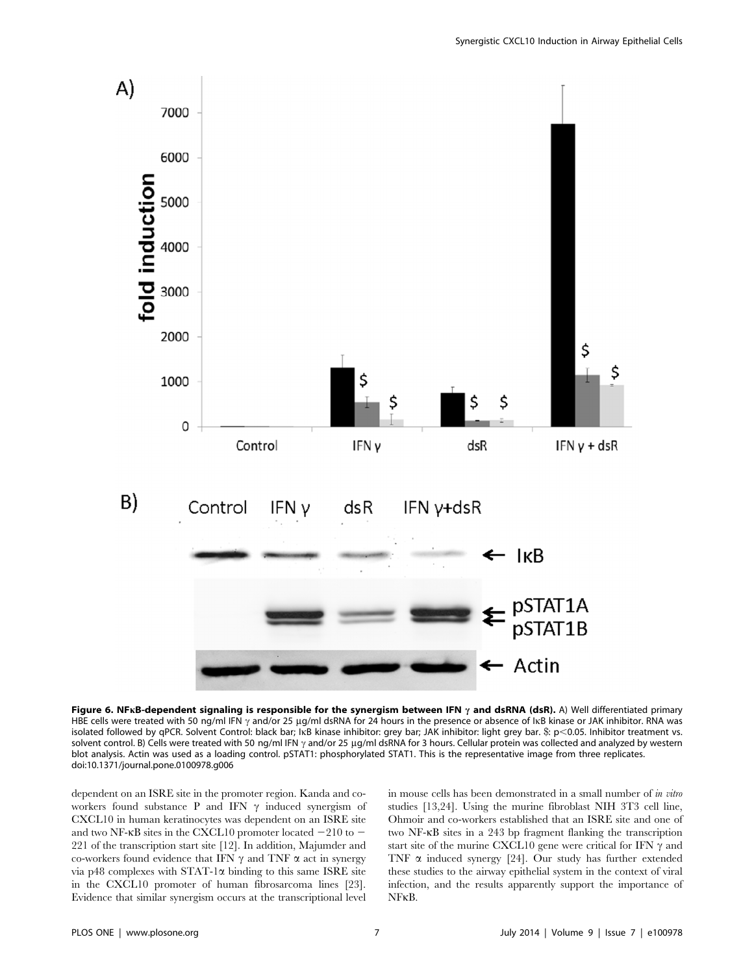

Figure 6. NFKB-dependent signaling is responsible for the synergism between IFN  $\gamma$  and dsRNA (dsR). A) Well differentiated primary HBE cells were treated with 50 ng/ml IFN  $\gamma$  and/or 25 ug/ml dsRNA for 24 hours in the presence or absence of IkB kinase or JAK inhibitor. RNA was isolated followed by qPCR. Solvent Control: black bar; IKB kinase inhibitor: grey bar; JAK inhibitor: light grey bar. \$: p<0.05. Inhibitor treatment vs. solvent control. B) Cells were treated with 50 ng/ml IFN  $\gamma$  and/or 25 µg/ml dsRNA for 3 hours. Cellular protein was collected and analyzed by western blot analysis. Actin was used as a loading control. pSTAT1: phosphorylated STAT1. This is the representative image from three replicates. doi:10.1371/journal.pone.0100978.g006

dependent on an ISRE site in the promoter region. Kanda and coworkers found substance P and IFN  $\gamma$  induced synergism of CXCL10 in human keratinocytes was dependent on an ISRE site and two NF- $\kappa$ B sites in the CXCL10 promoter located  $-210$  to  $-$ 221 of the transcription start site [12]. In addition, Majumder and co-workers found evidence that IFN  $\gamma$  and TNF  $\alpha$  act in synergy via p48 complexes with  $STAT-1\alpha$  binding to this same ISRE site in the CXCL10 promoter of human fibrosarcoma lines [23]. Evidence that similar synergism occurs at the transcriptional level in mouse cells has been demonstrated in a small number of in vitro studies [13,24]. Using the murine fibroblast NIH 3T3 cell line, Ohmoir and co-workers established that an ISRE site and one of two NF-kB sites in a 243 bp fragment flanking the transcription start site of the murine CXCL10 gene were critical for IFN  $\gamma$  and TNF  $\alpha$  induced synergy [24]. Our study has further extended these studies to the airway epithelial system in the context of viral infection, and the results apparently support the importance of NFkB.